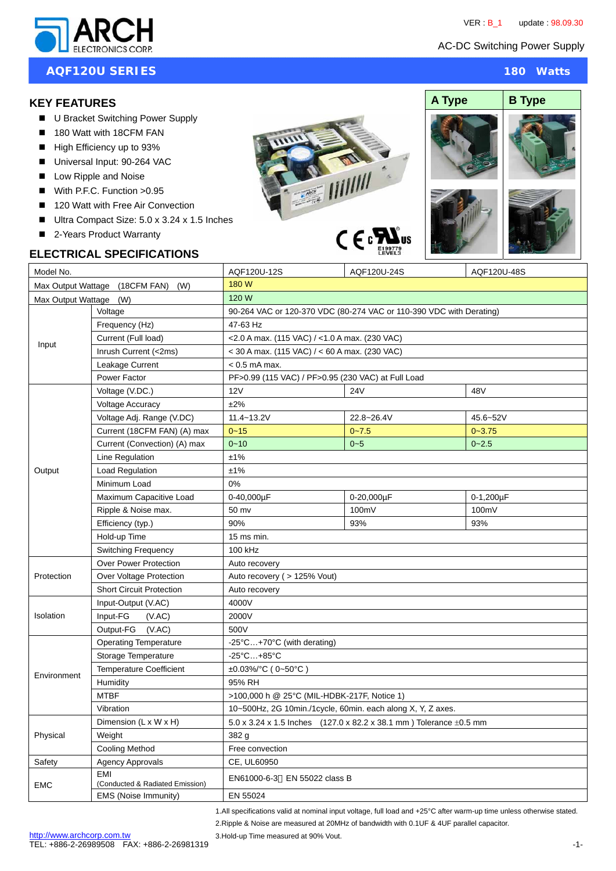

## **AQF120U SERIES** 180 Watts

## **KEY FEATURES**

- U Bracket Switching Power Supply
- 180 Watt with 18CFM FAN
- High Efficiency up to 93%
- Universal Input: 90-264 VAC
- Low Ripple and Noise
- $W$  With P.F.C. Function  $>0.95$
- 120 Watt with Free Air Convection
- Ultra Compact Size: 5.0 x 3.24 x 1.5 Inches
- 2-Years Product Warranty

# **ELECTRICAL SPECIFICATIONS**





| Model No.                          |                                        | AQF120U-12S                                                                                         | AQF120U-24S | AQF120U-48S |
|------------------------------------|----------------------------------------|-----------------------------------------------------------------------------------------------------|-------------|-------------|
| Max Output Wattage (18CFM FAN) (W) |                                        | 180 W                                                                                               |             |             |
| Max Output Wattage (W)             |                                        | 120 W                                                                                               |             |             |
| Input                              | Voltage                                | 90-264 VAC or 120-370 VDC (80-274 VAC or 110-390 VDC with Derating)                                 |             |             |
|                                    | Frequency (Hz)                         | 47-63 Hz                                                                                            |             |             |
|                                    | Current (Full load)                    | <2.0 A max. (115 VAC) / <1.0 A max. (230 VAC)                                                       |             |             |
|                                    | Inrush Current (<2ms)                  | $<$ 30 A max. (115 VAC) / $<$ 60 A max. (230 VAC)                                                   |             |             |
|                                    | Leakage Current                        | < 0.5 mA max.                                                                                       |             |             |
|                                    | Power Factor                           | PF>0.99 (115 VAC) / PF>0.95 (230 VAC) at Full Load                                                  |             |             |
| Output                             | Voltage (V.DC.)                        | 12V                                                                                                 | <b>24V</b>  | 48V         |
|                                    | <b>Voltage Accuracy</b>                | ±2%                                                                                                 |             |             |
|                                    | Voltage Adj. Range (V.DC)              | 11.4~13.2V                                                                                          | 22.8~26.4V  | 45.6~52V    |
|                                    | Current (18CFM FAN) (A) max            | $0 - 15$                                                                                            | $0 - 7.5$   | $0 - 3.75$  |
|                                    | Current (Convection) (A) max           | $0 - 10$                                                                                            | $0 - 5$     | $0 - 2.5$   |
|                                    | Line Regulation                        | ±1%                                                                                                 |             |             |
|                                    | Load Regulation                        | ±1%                                                                                                 |             |             |
|                                    | Minimum Load                           | 0%                                                                                                  |             |             |
|                                    | Maximum Capacitive Load                | 0-40,000uF                                                                                          | 0-20,000uF  | 0-1,200µF   |
|                                    | Ripple & Noise max.                    | 50 mv                                                                                               | 100mV       | 100mV       |
|                                    | Efficiency (typ.)                      | 90%                                                                                                 | 93%         | 93%         |
|                                    | Hold-up Time                           | 15 ms min.                                                                                          |             |             |
|                                    | <b>Switching Frequency</b>             | 100 kHz                                                                                             |             |             |
| Protection                         | <b>Over Power Protection</b>           | Auto recovery                                                                                       |             |             |
|                                    | Over Voltage Protection                | Auto recovery ( > 125% Vout)                                                                        |             |             |
|                                    | <b>Short Circuit Protection</b>        | Auto recovery                                                                                       |             |             |
| Isolation                          | Input-Output (V.AC)                    | 4000V                                                                                               |             |             |
|                                    | Input-FG<br>(VAC)                      | 2000V                                                                                               |             |             |
|                                    | Output-FG<br>(VAC)                     | 500V                                                                                                |             |             |
| Environment                        | <b>Operating Temperature</b>           | $-25^{\circ}$ C+70 $^{\circ}$ C (with derating)                                                     |             |             |
|                                    | Storage Temperature                    | $-25^{\circ}$ C $+85^{\circ}$ C                                                                     |             |             |
|                                    | <b>Temperature Coefficient</b>         | ±0.03%/°C (0~50°C)                                                                                  |             |             |
|                                    | Humidity                               | 95% RH                                                                                              |             |             |
|                                    | <b>MTBF</b>                            | >100,000 h @ 25°C (MIL-HDBK-217F, Notice 1)                                                         |             |             |
|                                    | Vibration                              | 10~500Hz, 2G 10min./1cycle, 60min. each along X, Y, Z axes.                                         |             |             |
| Physical                           | Dimension (L x W x H)                  | 5.0 x 3.24 x 1.5 Inches $(127.0 \times 82.2 \times 38.1 \text{ mm})$ Tolerance $\pm 0.5 \text{ mm}$ |             |             |
|                                    | Weight                                 | 382 g                                                                                               |             |             |
|                                    | <b>Cooling Method</b>                  | Free convection                                                                                     |             |             |
| Safety                             | <b>Agency Approvals</b>                | CE, UL60950                                                                                         |             |             |
| <b>EMC</b>                         | EMI<br>(Conducted & Radiated Emission) | EN61000-6-3 EN 55022 class B                                                                        |             |             |
|                                    | EMS (Noise Immunity)                   | EN 55024                                                                                            |             |             |

1.All specifications valid at nominal input voltage, full load and +25°C after warm-up time unless otherwise stated.

2.Ripple & Noise are measured at 20MHz of bandwidth with 0.1UF & 4UF parallel capacitor.

3.Hold-up Time measured at 90% Vout.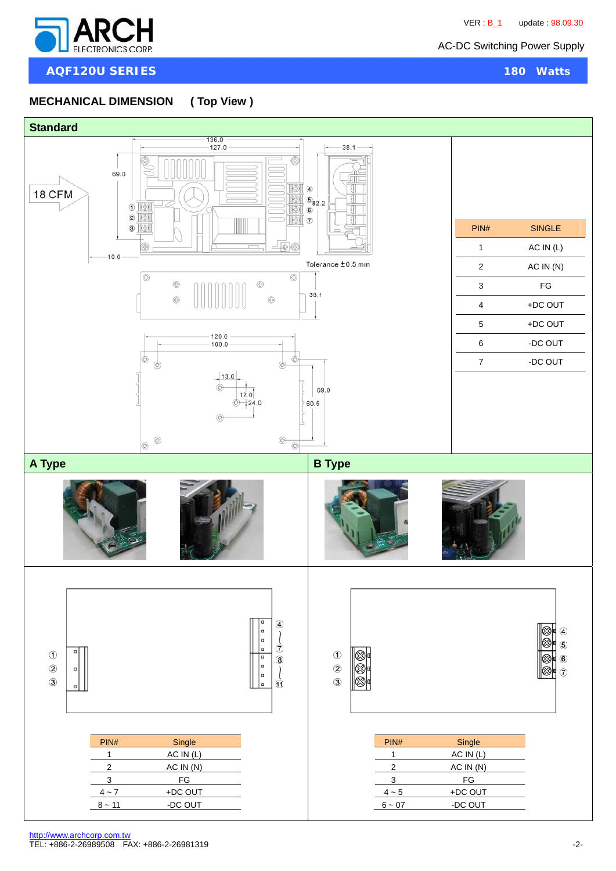

**AQF120U SERIES** 180 Watts

### **MECHANICAL DIMENSION ( Top View )**

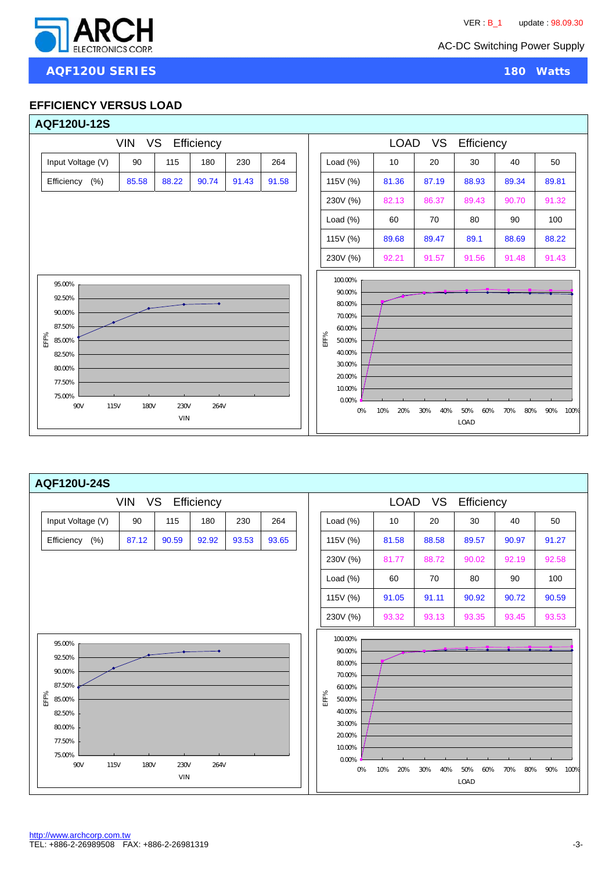

j

#### **EFFICIENCY VERSUS LOAD**